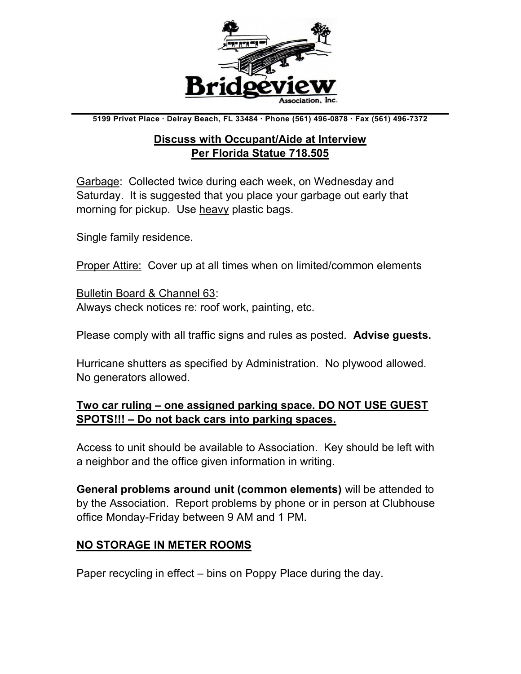

5199 Privet Place ∙ Delray Beach, FL 33484 ∙ Phone (561) 496-0878 ∙ Fax (561) 496-7372

#### Discuss with Occupant/Aide at Interview Per Florida Statue 718.505

Garbage: Collected twice during each week, on Wednesday and Saturday. It is suggested that you place your garbage out early that morning for pickup. Use heavy plastic bags.

Single family residence.

**Proper Attire: Cover up at all times when on limited/common elements** 

Bulletin Board & Channel 63: Always check notices re: roof work, painting, etc.

Please comply with all traffic signs and rules as posted. Advise guests.

Hurricane shutters as specified by Administration. No plywood allowed. No generators allowed.

#### Two car ruling – one assigned parking space. DO NOT USE GUEST SPOTS!!! – Do not back cars into parking spaces.

Access to unit should be available to Association. Key should be left with a neighbor and the office given information in writing.

General problems around unit (common elements) will be attended to by the Association. Report problems by phone or in person at Clubhouse office Monday-Friday between 9 AM and 1 PM.

#### NO STORAGE IN METER ROOMS

Paper recycling in effect – bins on Poppy Place during the day.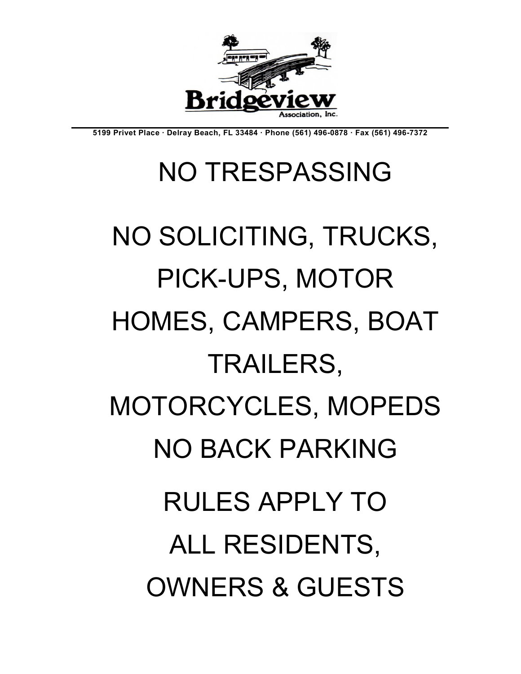# NO SOLICITING, TRUCKS, PICK-UPS, MOTOR HOMES, CAMPERS, BOAT TRAILERS, MOTORCYCLES, MOPEDS NO BACK PARKING RULES APPLY TO ALL RESIDENTS, OWNERS & GUESTS

## NO TRESPASSING



5199 Privet Place ∙ Delray Beach, FL 33484 ∙ Phone (561) 496-0878 ∙ Fax (561) 496-7372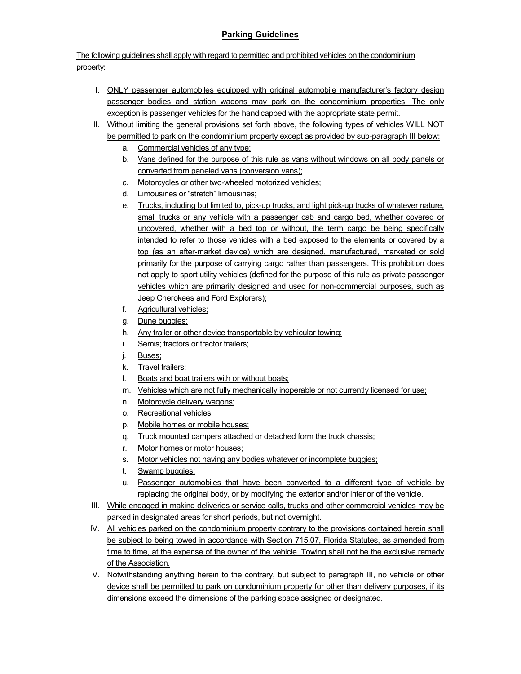#### Parking Guidelines

The following guidelines shall apply with regard to permitted and prohibited vehicles on the condominium property:

- I. ONLY passenger automobiles equipped with original automobile manufacturer's factory design passenger bodies and station wagons may park on the condominium properties. The only exception is passenger vehicles for the handicapped with the appropriate state permit.
- II. Without limiting the general provisions set forth above, the following types of vehicles WILL NOT be permitted to park on the condominium property except as provided by sub-paragraph III below:
	- a. Commercial vehicles of any type:
	- b. Vans defined for the purpose of this rule as vans without windows on all body panels or converted from paneled vans (conversion vans);
	- c. Motorcycles or other two-wheeled motorized vehicles;
	- d. Limousines or "stretch" limousines;
	- e. Trucks, including but limited to, pick-up trucks, and light pick-up trucks of whatever nature, small trucks or any vehicle with a passenger cab and cargo bed, whether covered or uncovered, whether with a bed top or without, the term cargo be being specifically intended to refer to those vehicles with a bed exposed to the elements or covered by a top (as an after-market device) which are designed, manufactured, marketed or sold primarily for the purpose of carrying cargo rather than passengers. This prohibition does not apply to sport utility vehicles (defined for the purpose of this rule as private passenger vehicles which are primarily designed and used for non-commercial purposes, such as Jeep Cherokees and Ford Explorers);
	- f. Agricultural vehicles;
	- g. Dune buggies;
	- h. Any trailer or other device transportable by vehicular towing;
	- i. Semis; tractors or tractor trailers;
	- j. Buses;
	- k. Travel trailers;
	- l. Boats and boat trailers with or without boats;
	- m. Vehicles which are not fully mechanically inoperable or not currently licensed for use;
	- n. Motorcycle delivery wagons;
	- o. Recreational vehicles
	- p. Mobile homes or mobile houses;
	- q. Truck mounted campers attached or detached form the truck chassis;
	- r. Motor homes or motor houses;
	- s. Motor vehicles not having any bodies whatever or incomplete buggies;
	- t. Swamp buggies;
	- u. Passenger automobiles that have been converted to a different type of vehicle by replacing the original body, or by modifying the exterior and/or interior of the vehicle.
- III. While engaged in making deliveries or service calls, trucks and other commercial vehicles may be parked in designated areas for short periods, but not overnight.
- IV. All vehicles parked on the condominium property contrary to the provisions contained herein shall be subject to being towed in accordance with Section 715.07, Florida Statutes, as amended from time to time, at the expense of the owner of the vehicle. Towing shall not be the exclusive remedy of the Association.
- V. Notwithstanding anything herein to the contrary, but subject to paragraph III, no vehicle or other device shall be permitted to park on condominium property for other than delivery purposes, if its dimensions exceed the dimensions of the parking space assigned or designated.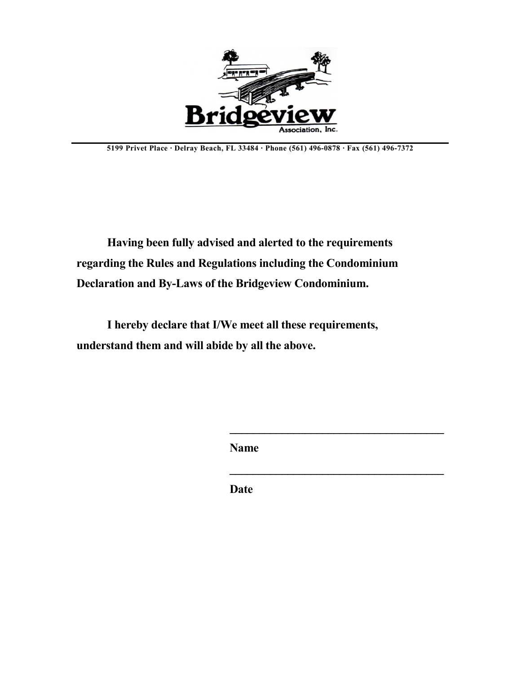

5199 Privet Place ∙ Delray Beach, FL 33484 ∙ Phone (561) 496-0878 ∙ Fax (561) 496-7372

Having been fully advised and alerted to the requirements regarding the Rules and Regulations including the Condominium Declaration and By-Laws of the Bridgeview Condominium.

I hereby declare that I/We meet all these requirements, understand them and will abide by all the above.

Name

 $\mathcal{L}_\text{max}$  and  $\mathcal{L}_\text{max}$  and  $\mathcal{L}_\text{max}$  and  $\mathcal{L}_\text{max}$ 

Date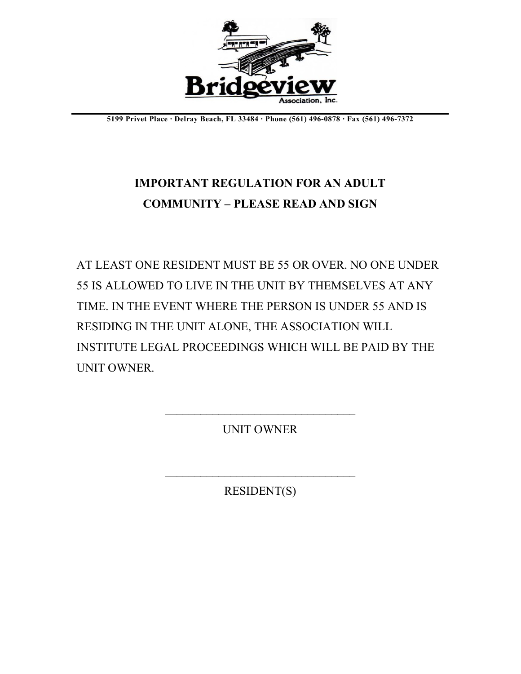

5199 Privet Place ∙ Delray Beach, FL 33484 ∙ Phone (561) 496-0878 ∙ Fax (561) 496-7372

## IMPORTANT REGULATION FOR AN ADULT COMMUNITY – PLEASE READ AND SIGN

AT LEAST ONE RESIDENT MUST BE 55 OR OVER. NO ONE UNDER 55 IS ALLOWED TO LIVE IN THE UNIT BY THEMSELVES AT ANY TIME. IN THE EVENT WHERE THE PERSON IS UNDER 55 AND IS RESIDING IN THE UNIT ALONE, THE ASSOCIATION WILL INSTITUTE LEGAL PROCEEDINGS WHICH WILL BE PAID BY THE UNIT OWNER.

UNIT OWNER

 $\mathcal{L}_\text{max}$  , where  $\mathcal{L}_\text{max}$  and  $\mathcal{L}_\text{max}$  and  $\mathcal{L}_\text{max}$ 

RESIDENT(S)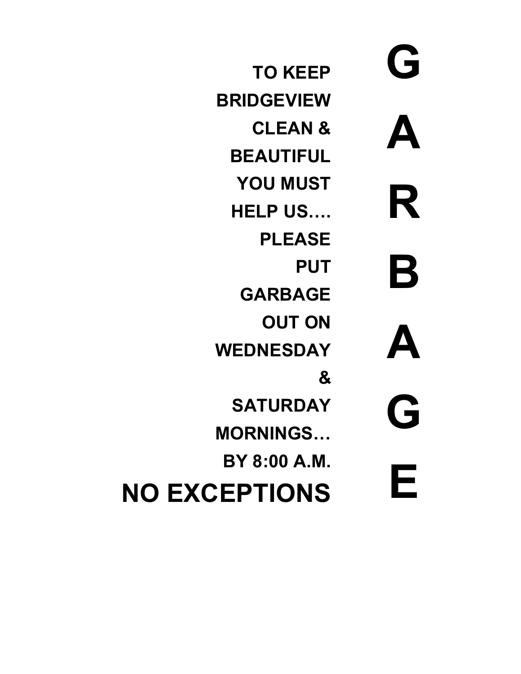G A R B A G E

TO KEEP BRIDGEVIEW CLEAN & **BEAUTIFUL** YOU MUST HELP US…. PLEASE **PUT** GARBAGE **OUT ON** WEDNESDAY & **SATURDAY** MORNINGS… BY 8:00 A.M. NO EXCEPTIONS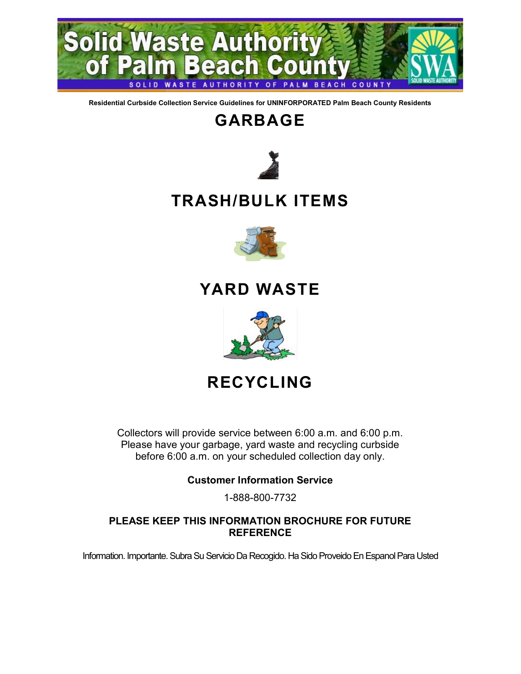

Residential Curbside Collection Service Guidelines for UNINFORPORATED Palm Beach County Residents

## GARBAGE



## TRASH/BULK ITEMS



### YARD WASTE



## RECYCLING

Collectors will provide service between 6:00 a.m. and 6:00 p.m. Please have your garbage, yard waste and recycling curbside before 6:00 a.m. on your scheduled collection day only.

#### Customer Information Service

1-888-800-7732

#### PLEASE KEEP THIS INFORMATION BROCHURE FOR FUTURE **REFERENCE**

Information. Importante. Subra Su Servicio Da Recogido. Ha Sido Proveido En Espanol Para Usted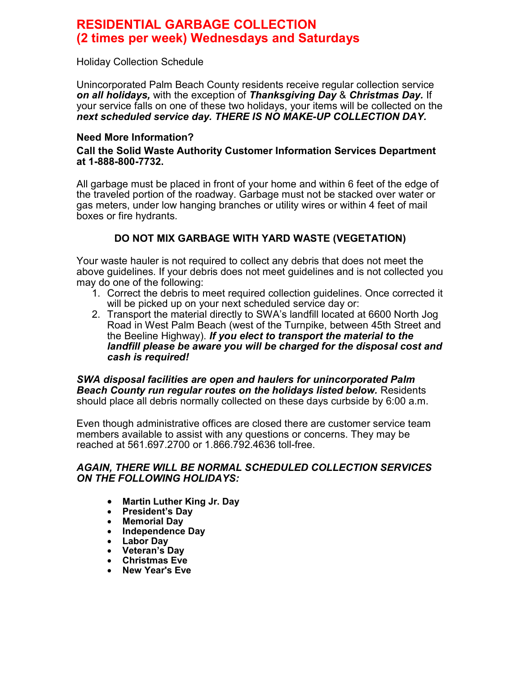#### RESIDENTIAL GARBAGE COLLECTION (2 times per week) Wednesdays and Saturdays

Holiday Collection Schedule

Unincorporated Palm Beach County residents receive regular collection service on all holidays, with the exception of Thanksgiving Day & Christmas Day. If your service falls on one of these two holidays, your items will be collected on the next scheduled service day. THERE IS NO MAKE-UP COLLECTION DAY.

#### Need More Information?

#### Call the Solid Waste Authority Customer Information Services Department at 1-888-800-7732.

All garbage must be placed in front of your home and within 6 feet of the edge of the traveled portion of the roadway. Garbage must not be stacked over water or gas meters, under low hanging branches or utility wires or within 4 feet of mail boxes or fire hydrants.

#### DO NOT MIX GARBAGE WITH YARD WASTE (VEGETATION)

Your waste hauler is not required to collect any debris that does not meet the above guidelines. If your debris does not meet guidelines and is not collected you may do one of the following:

- 1. Correct the debris to meet required collection guidelines. Once corrected it will be picked up on your next scheduled service day or:
- 2. Transport the material directly to SWA's landfill located at 6600 North Jog Road in West Palm Beach (west of the Turnpike, between 45th Street and the Beeline Highway). If you elect to transport the material to the landfill please be aware you will be charged for the disposal cost and cash is required!

SWA disposal facilities are open and haulers for unincorporated Palm Beach County run regular routes on the holidays listed below. Residents should place all debris normally collected on these days curbside by 6:00 a.m.

Even though administrative offices are closed there are customer service team members available to assist with any questions or concerns. They may be reached at 561.697.2700 or 1.866.792.4636 toll-free.

#### AGAIN, THERE WILL BE NORMAL SCHEDULED COLLECTION SERVICES ON THE FOLLOWING HOLIDAYS:

- Martin Luther King Jr. Day
- President's Day<br>• Memorial Day
- Memorial Day
- Independence Day
- Labor Day
- Veteran's Day
- **•** Christmas Eve<br>• New Year's Eve
- New Year's Eve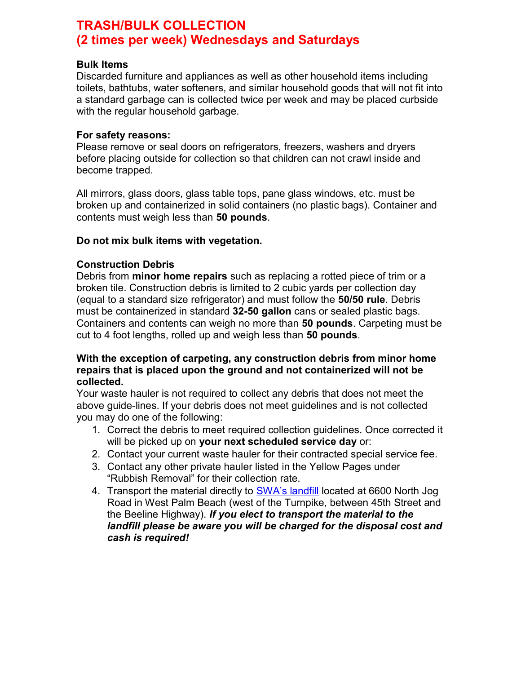#### TRASH/BULK COLLECTION (2 times per week) Wednesdays and Saturdays

#### Bulk Items

Discarded furniture and appliances as well as other household items including toilets, bathtubs, water softeners, and similar household goods that will not fit into a standard garbage can is collected twice per week and may be placed curbside with the regular household garbage.

#### For safety reasons:

Please remove or seal doors on refrigerators, freezers, washers and dryers before placing outside for collection so that children can not crawl inside and become trapped.

All mirrors, glass doors, glass table tops, pane glass windows, etc. must be broken up and containerized in solid containers (no plastic bags). Container and contents must weigh less than 50 pounds.

#### Do not mix bulk items with vegetation.

#### Construction Debris

Debris from **minor home repairs** such as replacing a rotted piece of trim or a broken tile. Construction debris is limited to 2 cubic yards per collection day (equal to a standard size refrigerator) and must follow the 50/50 rule. Debris must be containerized in standard 32-50 gallon cans or sealed plastic bags. Containers and contents can weigh no more than 50 pounds. Carpeting must be cut to 4 foot lengths, rolled up and weigh less than 50 pounds.

#### With the exception of carpeting, any construction debris from minor home repairs that is placed upon the ground and not containerized will not be collected.

Your waste hauler is not required to collect any debris that does not meet the above guide-lines. If your debris does not meet guidelines and is not collected you may do one of the following:

- 1. Correct the debris to meet required collection guidelines. Once corrected it will be picked up on your next scheduled service day or:
- 2. Contact your current waste hauler for their contracted special service fee.
- 3. Contact any other private hauler listed in the Yellow Pages under "Rubbish Removal" for their collection rate.
- 4. Transport the material directly to SWA's landfill located at 6600 North Jog Road in West Palm Beach (west of the Turnpike, between 45th Street and the Beeline Highway). If you elect to transport the material to the landfill please be aware you will be charged for the disposal cost and cash is required!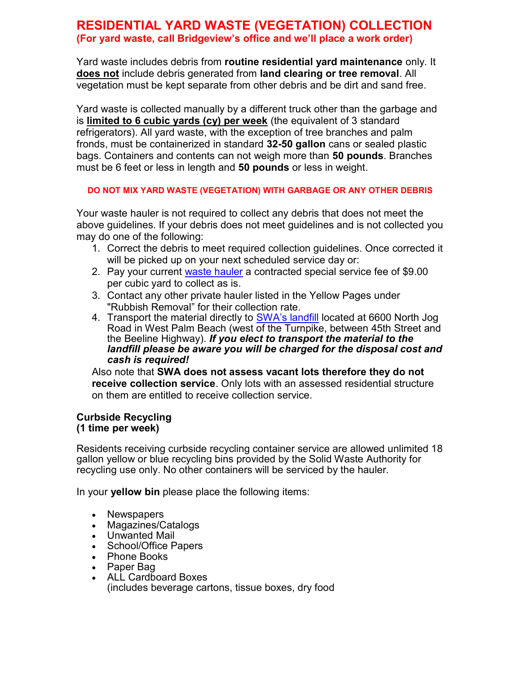#### RESIDENTIAL YARD WASTE (VEGETATION) COLLECTION (For yard waste, call Bridgeview's office and we'll place a work order)

Yard waste includes debris from **routine residential yard maintenance** only. It does not include debris generated from land clearing or tree removal. All vegetation must be kept separate from other debris and be dirt and sand free.

Yard waste is collected manually by a different truck other than the garbage and is limited to 6 cubic yards (cy) per week (the equivalent of 3 standard refrigerators). All yard waste, with the exception of tree branches and palm fronds, must be containerized in standard 32-50 gallon cans or sealed plastic bags. Containers and contents can not weigh more than 50 pounds. Branches must be 6 feet or less in length and **50 pounds** or less in weight.

#### DO NOT MIX YARD WASTE (VEGETATION) WITH GARBAGE OR ANY OTHER DEBRIS

Your waste hauler is not required to collect any debris that does not meet the above guidelines. If your debris does not meet guidelines and is not collected you may do one of the following:

- 1. Correct the debris to meet required collection guidelines. Once corrected it will be picked up on your next scheduled service day or:
- 2. Pay your current waste hauler a contracted special service fee of \$9.00 per cubic yard to collect as is.
- 3. Contact any other private hauler listed in the Yellow Pages under "Rubbish Removal" for their collection rate.
- 4. Transport the material directly to SWA's landfill located at 6600 North Jog Road in West Palm Beach (west of the Turnpike, between 45th Street and the Beeline Highway). If you elect to transport the material to the landfill please be aware you will be charged for the disposal cost and cash is required!

Also note that SWA does not assess vacant lots therefore they do not receive collection service. Only lots with an assessed residential structure on them are entitled to receive collection service.

#### Curbside Recycling (1 time per week)

Ĩ Residents receiving curbside recycling container service are allowed unlimited 18 gallon yellow or blue recycling bins provided by the Solid Waste Authority for recycling use only. No other containers will be serviced by the hauler.

In your **yellow bin** please place the following items:

- Newspapers
- Magazines/Catalogs
- Unwanted Mail
- School/Office Papers
- Phone Books
- Paper Bag
- ALL Cardboard Boxes (includes beverage cartons, tissue boxes, dry food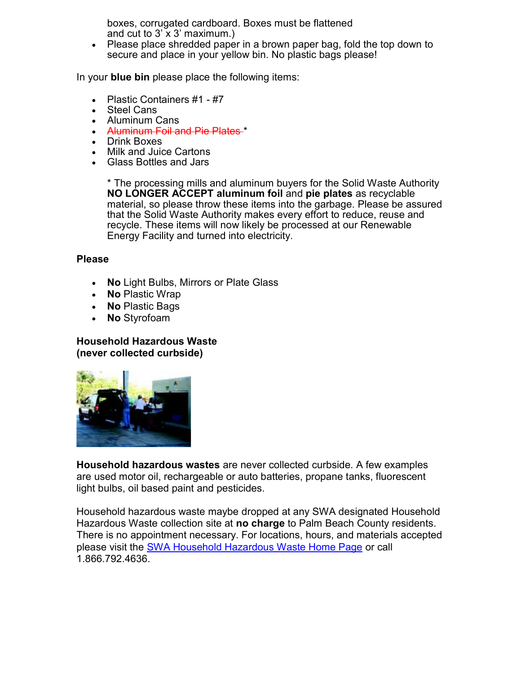boxes, corrugated cardboard. Boxes must be flattened and cut to  $3' \times 3'$  maximum.)

• Please place shredded paper in a brown paper bag, fold the top down to secure and place in your yellow bin. No plastic bags please!

In your **blue bin** please place the following items:

- Plastic Containers #1 #7
- Steel Cans
- Aluminum Cans
- Aluminum Foil and Pie Plates \*
- Drink Boxes
- Milk and Juice Cartons
- Glass Bottles and Jars

\* The processing mills and aluminum buyers for the Solid Waste Authority NO LONGER ACCEPT aluminum foil and pie plates as recyclable material, so please throw these items into the garbage. Please be assured that the Solid Waste Authority makes every effort to reduce, reuse and recycle. These items will now likely be processed at our Renewable Energy Facility and turned into electricity.

#### Please

- No Light Bulbs, Mirrors or Plate Glass
- No Plastic Wrap
- No Plastic Bags
- No Styrofoam

#### Household Hazardous Waste (never collected curbside)



Household hazardous wastes are never collected curbside. A few examples are used motor oil, rechargeable or auto batteries, propane tanks, fluorescent light bulbs, oil based paint and pesticides.

Household hazardous waste maybe dropped at any SWA designated Household Hazardous Waste collection site at no charge to Palm Beach County residents. There is no appointment necessary. For locations, hours, and materials accepted please visit the SWA Household Hazardous Waste Home Page or call 1.866.792.4636.